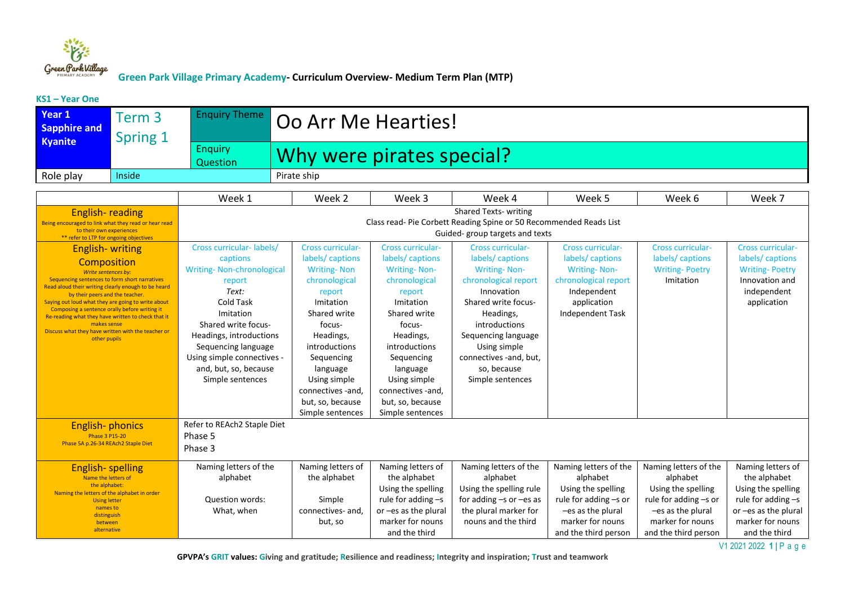

#### **KS1 – Year One**

| Year 1<br><b>Sapphire and</b>                                                                                                                                                                                                                                                                                                                                                                                                                             | Term 3<br>Spring 1 | <b>Enquiry Theme</b>                                                                                                                                                                                                                                                      | Oo Arr Me Hearties!                                                                                                                                                                                                                                                      |                                                                                                                                                                                                                                                                           |                                                                                                                                                                                                                                                                   |                                                                                                                                              |                                                                                                         |                                                                                                                      |  |  |
|-----------------------------------------------------------------------------------------------------------------------------------------------------------------------------------------------------------------------------------------------------------------------------------------------------------------------------------------------------------------------------------------------------------------------------------------------------------|--------------------|---------------------------------------------------------------------------------------------------------------------------------------------------------------------------------------------------------------------------------------------------------------------------|--------------------------------------------------------------------------------------------------------------------------------------------------------------------------------------------------------------------------------------------------------------------------|---------------------------------------------------------------------------------------------------------------------------------------------------------------------------------------------------------------------------------------------------------------------------|-------------------------------------------------------------------------------------------------------------------------------------------------------------------------------------------------------------------------------------------------------------------|----------------------------------------------------------------------------------------------------------------------------------------------|---------------------------------------------------------------------------------------------------------|----------------------------------------------------------------------------------------------------------------------|--|--|
| <b>Kyanite</b>                                                                                                                                                                                                                                                                                                                                                                                                                                            |                    | <b>Enquiry</b><br>Question                                                                                                                                                                                                                                                | Why were pirates special?                                                                                                                                                                                                                                                |                                                                                                                                                                                                                                                                           |                                                                                                                                                                                                                                                                   |                                                                                                                                              |                                                                                                         |                                                                                                                      |  |  |
| Role play                                                                                                                                                                                                                                                                                                                                                                                                                                                 | Inside             |                                                                                                                                                                                                                                                                           | Pirate ship                                                                                                                                                                                                                                                              |                                                                                                                                                                                                                                                                           |                                                                                                                                                                                                                                                                   |                                                                                                                                              |                                                                                                         |                                                                                                                      |  |  |
|                                                                                                                                                                                                                                                                                                                                                                                                                                                           |                    |                                                                                                                                                                                                                                                                           |                                                                                                                                                                                                                                                                          |                                                                                                                                                                                                                                                                           |                                                                                                                                                                                                                                                                   |                                                                                                                                              |                                                                                                         |                                                                                                                      |  |  |
|                                                                                                                                                                                                                                                                                                                                                                                                                                                           |                    | Week 1                                                                                                                                                                                                                                                                    | Week 2                                                                                                                                                                                                                                                                   | Week 3                                                                                                                                                                                                                                                                    | Week 4                                                                                                                                                                                                                                                            | Week 5                                                                                                                                       | Week 6                                                                                                  | Week 7                                                                                                               |  |  |
| <b>English-reading</b><br>Being encouraged to link what they read or hear read<br>to their own experiences<br>** refer to LTP for ongoing objectives                                                                                                                                                                                                                                                                                                      |                    | <b>Shared Texts- writing</b><br>Class read- Pie Corbett Reading Spine or 50 Recommended Reads List<br>Guided-group targets and texts                                                                                                                                      |                                                                                                                                                                                                                                                                          |                                                                                                                                                                                                                                                                           |                                                                                                                                                                                                                                                                   |                                                                                                                                              |                                                                                                         |                                                                                                                      |  |  |
| <b>English-writing</b><br>Composition<br>Write sentences by:<br>Sequencing sentences to form short narratives<br>Read aloud their writing clearly enough to be heard<br>by their peers and the teacher.<br>Saying out loud what they are going to write about<br>Composing a sentence orally before writing it<br>Re-reading what they have written to check that it<br>makes sense<br>Discuss what they have written with the teacher or<br>other pupils |                    | Cross curricular-labels/<br>captions<br><b>Writing-Non-chronological</b><br>report<br>Text:<br>Cold Task<br>Imitation<br>Shared write focus-<br>Headings, introductions<br>Sequencing language<br>Using simple connectives -<br>and, but, so, because<br>Simple sentences | <b>Cross curricular-</b><br>labels/captions<br><b>Writing-Non</b><br>chronological<br>report<br>Imitation<br>Shared write<br>focus-<br>Headings,<br>introductions<br>Sequencing<br>language<br>Using simple<br>connectives -and,<br>but, so, because<br>Simple sentences | <b>Cross curricular-</b><br>labels/captions<br><b>Writing-Non-</b><br>chronological<br>report<br>Imitation<br>Shared write<br>focus-<br>Headings,<br>introductions<br>Sequencing<br>language<br>Using simple<br>connectives -and,<br>but, so, because<br>Simple sentences | <b>Cross curricular-</b><br>labels/captions<br><b>Writing-Non-</b><br>chronological report<br>Innovation<br>Shared write focus-<br>Headings,<br>introductions<br>Sequencing language<br>Using simple<br>connectives -and, but,<br>so, because<br>Simple sentences | <b>Cross curricular-</b><br>labels/captions<br><b>Writing-Non-</b><br>chronological report<br>Independent<br>application<br>Independent Task | <b>Cross curricular-</b><br>labels/captions<br><b>Writing-Poetry</b><br>Imitation                       | <b>Cross curricular-</b><br>labels/captions<br><b>Writing-Poetry</b><br>Innovation and<br>independent<br>application |  |  |
| <b>English-phonics</b><br><b>Phase 3 P15-20</b><br>Phase 5A p.26-34 REAch2 Staple Diet                                                                                                                                                                                                                                                                                                                                                                    |                    | Refer to REAch2 Staple Diet<br>Phase 5<br>Phase 3                                                                                                                                                                                                                         |                                                                                                                                                                                                                                                                          |                                                                                                                                                                                                                                                                           |                                                                                                                                                                                                                                                                   |                                                                                                                                              |                                                                                                         |                                                                                                                      |  |  |
| <b>English-spelling</b><br>Name the letters of<br>the alphabet:<br>Naming the letters of the alphabet in order<br><b>Using letter</b><br>names to<br>distinguish                                                                                                                                                                                                                                                                                          |                    | Naming letters of the<br>alphabet<br>Question words:<br>What, when                                                                                                                                                                                                        | Naming letters of<br>the alphabet<br>Simple<br>connectives- and,                                                                                                                                                                                                         | Naming letters of<br>the alphabet<br>Using the spelling<br>rule for adding $-s$<br>or -es as the plural                                                                                                                                                                   | Naming letters of the<br>alphabet<br>Using the spelling rule<br>for adding $-s$ or $-es$ as<br>the plural marker for                                                                                                                                              | Naming letters of the<br>alphabet<br>Using the spelling<br>rule for adding -s or<br>-es as the plural                                        | Naming letters of the<br>alphabet<br>Using the spelling<br>rule for adding -s or<br>$-es$ as the plural | Naming letters of<br>the alphabet<br>Using the spelling<br>rule for adding $-s$<br>or -es as the plural              |  |  |
| between<br>alternative                                                                                                                                                                                                                                                                                                                                                                                                                                    |                    |                                                                                                                                                                                                                                                                           | but, so                                                                                                                                                                                                                                                                  | marker for nouns<br>and the third                                                                                                                                                                                                                                         | nouns and the third                                                                                                                                                                                                                                               | marker for nouns<br>and the third person                                                                                                     | marker for nouns<br>and the third person                                                                | marker for nouns<br>and the third                                                                                    |  |  |

 **GPVPA's GRIT values: Giving and gratitude; Resilience and readiness; Integrity and inspiration; Trust and teamwork**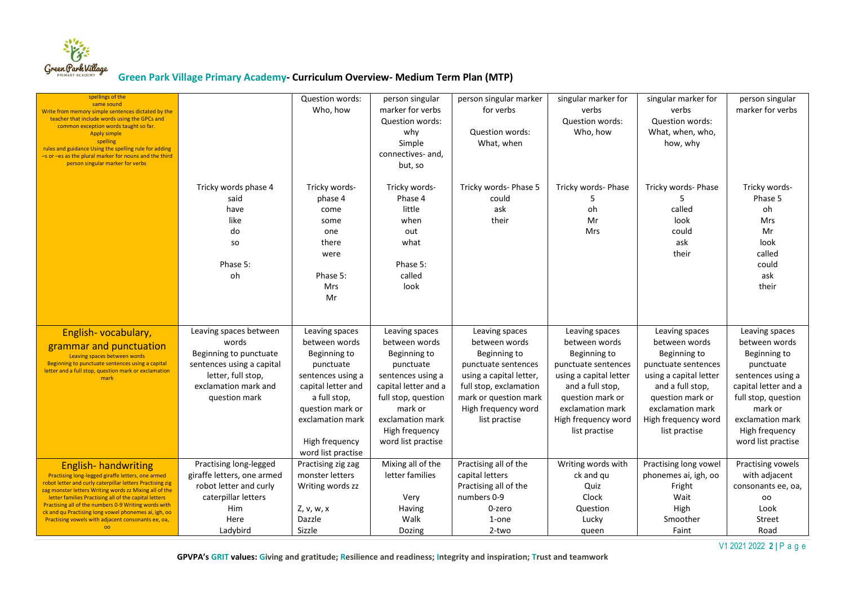

| spellings of the<br>same sound<br>Write from memory simple sentences dictated by the<br>teacher that include words using the GPCs and<br>common exception words taught so far.<br><b>Apply simple</b><br>spelling<br>rules and guidance Using the spelling rule for adding<br>-s or -es as the plural marker for nouns and the third<br>person singular marker for verbs                                                                    |                                                                                                                                                       | <b>Question words:</b><br>Who, how                                                                                                                                                                      | person singular<br>marker for verbs<br>Question words:<br>why<br>Simple<br>connectives- and,<br>but, so                                                                                                 | person singular marker<br>for verbs<br>Question words:<br>What, when                                                                                                                         | singular marker for<br>verbs<br>Question words:<br>Who, how                                                                                                                                          | singular marker for<br>verbs<br><b>Question words:</b><br>What, when, who,<br>how, why                                                                                                               | person singular<br>marker for verbs                                                                                                                                                                     |
|---------------------------------------------------------------------------------------------------------------------------------------------------------------------------------------------------------------------------------------------------------------------------------------------------------------------------------------------------------------------------------------------------------------------------------------------|-------------------------------------------------------------------------------------------------------------------------------------------------------|---------------------------------------------------------------------------------------------------------------------------------------------------------------------------------------------------------|---------------------------------------------------------------------------------------------------------------------------------------------------------------------------------------------------------|----------------------------------------------------------------------------------------------------------------------------------------------------------------------------------------------|------------------------------------------------------------------------------------------------------------------------------------------------------------------------------------------------------|------------------------------------------------------------------------------------------------------------------------------------------------------------------------------------------------------|---------------------------------------------------------------------------------------------------------------------------------------------------------------------------------------------------------|
|                                                                                                                                                                                                                                                                                                                                                                                                                                             | Tricky words phase 4<br>said<br>have<br>like<br>do<br><b>SO</b><br>Phase 5:<br>oh                                                                     | Tricky words-<br>phase 4<br>come<br>some<br>one<br>there<br>were<br>Phase 5:<br><b>Mrs</b><br>Mr                                                                                                        | Tricky words-<br>Phase 4<br>little<br>when<br>out<br>what<br>Phase 5:<br>called<br>look                                                                                                                 | Tricky words- Phase 5<br>could<br>ask<br>their                                                                                                                                               | Tricky words- Phase<br>5<br>oh<br>Mr<br>Mrs                                                                                                                                                          | Tricky words- Phase<br>5<br>called<br>look<br>could<br>ask<br>their                                                                                                                                  | Tricky words-<br>Phase 5<br>oh<br>Mrs<br>Mr<br>look<br>called<br>could<br>ask<br>their                                                                                                                  |
| English-vocabulary,<br>grammar and punctuation<br>Leaving spaces between words<br>Beginning to punctuate sentences using a capital<br>letter and a full stop, question mark or exclamation<br>mark                                                                                                                                                                                                                                          | Leaving spaces between<br>words<br>Beginning to punctuate<br>sentences using a capital<br>letter, full stop,<br>exclamation mark and<br>question mark | Leaving spaces<br>between words<br>Beginning to<br>punctuate<br>sentences using a<br>capital letter and<br>a full stop,<br>question mark or<br>exclamation mark<br>High frequency<br>word list practise | Leaving spaces<br>between words<br>Beginning to<br>punctuate<br>sentences using a<br>capital letter and a<br>full stop, question<br>mark or<br>exclamation mark<br>High frequency<br>word list practise | Leaving spaces<br>between words<br>Beginning to<br>punctuate sentences<br>using a capital letter,<br>full stop, exclamation<br>mark or question mark<br>High frequency word<br>list practise | Leaving spaces<br>between words<br>Beginning to<br>punctuate sentences<br>using a capital letter<br>and a full stop,<br>question mark or<br>exclamation mark<br>High frequency word<br>list practise | Leaving spaces<br>between words<br>Beginning to<br>punctuate sentences<br>using a capital letter<br>and a full stop,<br>question mark or<br>exclamation mark<br>High frequency word<br>list practise | Leaving spaces<br>between words<br>Beginning to<br>punctuate<br>sentences using a<br>capital letter and a<br>full stop, question<br>mark or<br>exclamation mark<br>High frequency<br>word list practise |
| <b>English-handwriting</b><br>Practising long-legged giraffe letters, one armed<br>robot letter and curly caterpillar letters Practising zig<br>zag monster letters Writing words zz Mixing all of the<br>letter families Practising all of the capital letters<br>Practising all of the numbers 0-9 Writing words with<br>ck and qu Practising long vowel phonemes ai, igh, oo<br>Practising vowels with adjacent consonants ee, oa,<br>00 | Practising long-legged<br>giraffe letters, one armed<br>robot letter and curly<br>caterpillar letters<br><b>Him</b><br>Here<br>Ladybird               | Practising zig zag<br>monster letters<br>Writing words zz<br>Z, v, w, x<br>Dazzle<br>Sizzle                                                                                                             | Mixing all of the<br>letter families<br>Very<br>Having<br>Walk<br>Dozing                                                                                                                                | Practising all of the<br>capital letters<br>Practising all of the<br>numbers 0-9<br>0-zero<br>1-one<br>2-two                                                                                 | Writing words with<br>ck and qu<br>Quiz<br>Clock<br>Question<br>Lucky<br>queen                                                                                                                       | Practising long vowel<br>phonemes ai, igh, oo<br>Fright<br>Wait<br>High<br>Smoother<br>Faint                                                                                                         | Practising vowels<br>with adjacent<br>consonants ee, oa,<br>oo<br>Look<br>Street<br>Road                                                                                                                |

V1 2021 2022 **2 |** P a g e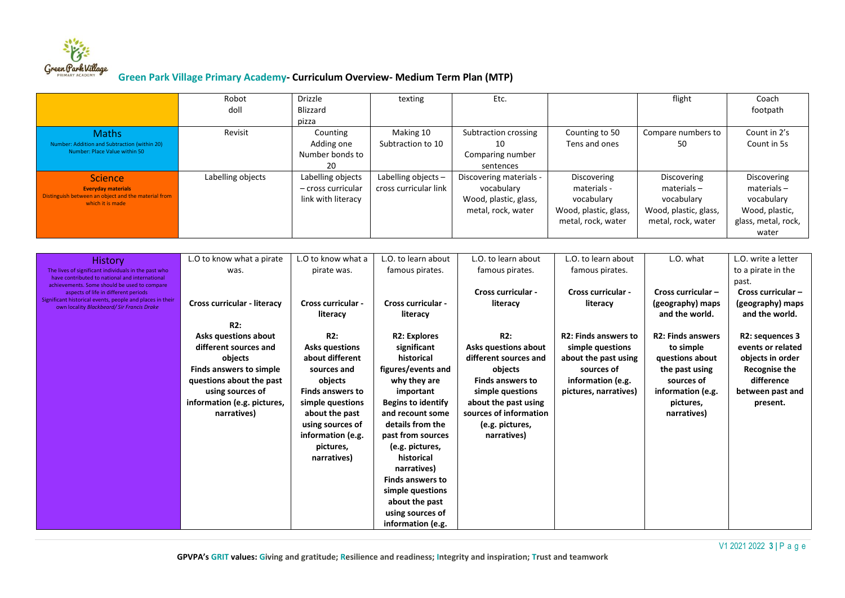

|                                                                                                                                                                                                | Robot<br>doll                                                                                                                                                                                          | <b>Drizzle</b><br><b>Blizzard</b>                                                                                                                                                                               | texting                                                                                                                                                                                                                                                                                                                                                 | Etc.                                                                                                                                                                                               |                                                                                                                                     | flight                                                                                                                                    | Coach<br>footpath                                                                                                              |
|------------------------------------------------------------------------------------------------------------------------------------------------------------------------------------------------|--------------------------------------------------------------------------------------------------------------------------------------------------------------------------------------------------------|-----------------------------------------------------------------------------------------------------------------------------------------------------------------------------------------------------------------|---------------------------------------------------------------------------------------------------------------------------------------------------------------------------------------------------------------------------------------------------------------------------------------------------------------------------------------------------------|----------------------------------------------------------------------------------------------------------------------------------------------------------------------------------------------------|-------------------------------------------------------------------------------------------------------------------------------------|-------------------------------------------------------------------------------------------------------------------------------------------|--------------------------------------------------------------------------------------------------------------------------------|
|                                                                                                                                                                                                |                                                                                                                                                                                                        | pizza                                                                                                                                                                                                           |                                                                                                                                                                                                                                                                                                                                                         |                                                                                                                                                                                                    |                                                                                                                                     |                                                                                                                                           |                                                                                                                                |
| <b>Maths</b><br>Number: Addition and Subtraction (within 20)<br>Number: Place Value within 50                                                                                                  | Revisit                                                                                                                                                                                                | Counting<br>Adding one<br>Number bonds to<br>20                                                                                                                                                                 | Making 10<br>Subtraction to 10                                                                                                                                                                                                                                                                                                                          | Subtraction crossing<br>10<br>Comparing number<br>sentences                                                                                                                                        | Counting to 50<br>Tens and ones                                                                                                     | Compare numbers to<br>50                                                                                                                  | Count in 2's<br>Count in 5s                                                                                                    |
| <b>Science</b><br><b>Everyday materials</b><br>Distinguish between an object and the material from<br>which it is made                                                                         | Labelling objects                                                                                                                                                                                      | Labelling objects<br>- cross curricular<br>link with literacy                                                                                                                                                   | Labelling objects -<br>cross curricular link                                                                                                                                                                                                                                                                                                            | Discovering materials -<br>vocabulary<br>Wood, plastic, glass,<br>metal, rock, water                                                                                                               | Discovering<br>materials -<br>vocabulary<br>Wood, plastic, glass,<br>metal, rock, water                                             | Discovering<br>$materials -$<br>vocabulary<br>Wood, plastic, glass,<br>metal, rock, water                                                 | Discovering<br>$materials -$<br>vocabulary<br>Wood, plastic,<br>glass, metal, rock,<br>water                                   |
| <b>History</b><br>The lives of significant individuals in the past who<br>have contributed to national and international                                                                       | L.O to know what a pirate<br>was.                                                                                                                                                                      | L.O to know what a<br>pirate was.                                                                                                                                                                               | L.O. to learn about<br>famous pirates.                                                                                                                                                                                                                                                                                                                  | L.O. to learn about<br>famous pirates.                                                                                                                                                             | L.O. to learn about<br>famous pirates.                                                                                              | L.O. what                                                                                                                                 | L.O. write a letter<br>to a pirate in the<br>past.                                                                             |
| achievements. Some should be used to compare<br>aspects of life in different periods<br>Significant historical events, people and places in their<br>own locality Blackbeard/Sir Francis Drake | <b>Cross curricular - literacy</b>                                                                                                                                                                     | <b>Cross curricular -</b><br>literacy                                                                                                                                                                           | <b>Cross curricular -</b><br>literacy                                                                                                                                                                                                                                                                                                                   | <b>Cross curricular -</b><br>literacy                                                                                                                                                              | <b>Cross curricular -</b><br>literacy                                                                                               | Cross curricular -<br>(geography) maps<br>and the world.                                                                                  | Cross curricular-<br>(geography) maps<br>and the world.                                                                        |
|                                                                                                                                                                                                | R2:<br><b>Asks questions about</b><br>different sources and<br>objects<br><b>Finds answers to simple</b><br>questions about the past<br>using sources of<br>information (e.g. pictures,<br>narratives) | R2:<br><b>Asks questions</b><br>about different<br>sources and<br>objects<br><b>Finds answers to</b><br>simple questions<br>about the past<br>using sources of<br>information (e.g.<br>pictures,<br>narratives) | <b>R2: Explores</b><br>significant<br>historical<br>figures/events and<br>why they are<br>important<br><b>Begins to identify</b><br>and recount some<br>details from the<br>past from sources<br>(e.g. pictures,<br>historical<br>narratives)<br><b>Finds answers to</b><br>simple questions<br>about the past<br>using sources of<br>information (e.g. | R2:<br>Asks questions about<br>different sources and<br>objects<br><b>Finds answers to</b><br>simple questions<br>about the past using<br>sources of information<br>(e.g. pictures,<br>narratives) | <b>R2: Finds answers to</b><br>simple questions<br>about the past using<br>sources of<br>information (e.g.<br>pictures, narratives) | <b>R2: Finds answers</b><br>to simple<br>questions about<br>the past using<br>sources of<br>information (e.g.<br>pictures,<br>narratives) | R2: sequences 3<br>events or related<br>objects in order<br><b>Recognise the</b><br>difference<br>between past and<br>present. |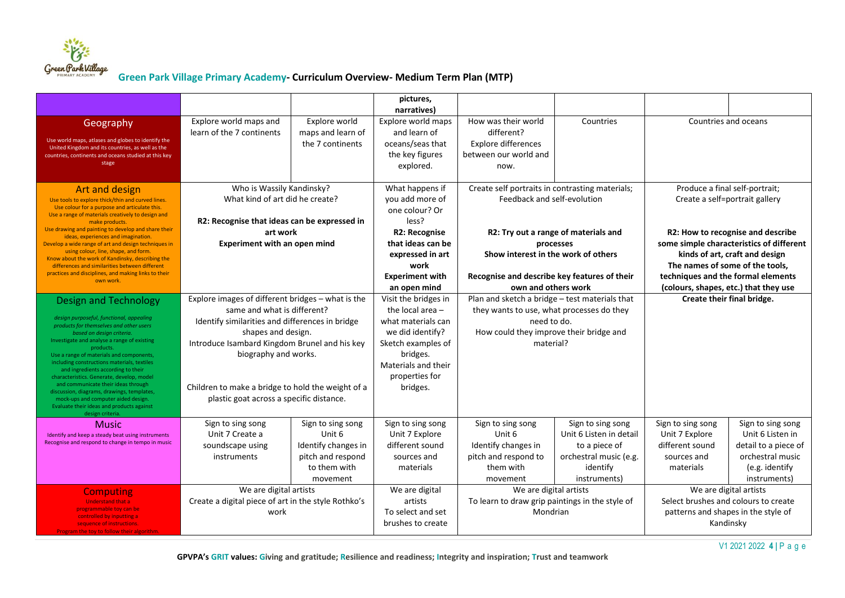

|                                                                                                                                                                                                                                                                                                                                                                                                                                                                                                                                                                                         |                                                                                                                                                                                                                                                                                                                                     |                                                                                                     | pictures,<br>narratives)                                                                                                                                                    |                                                                                                                                                                    |                                                                                                                     |                                                                                                                                                                                                                                   |                                                                                                                     |
|-----------------------------------------------------------------------------------------------------------------------------------------------------------------------------------------------------------------------------------------------------------------------------------------------------------------------------------------------------------------------------------------------------------------------------------------------------------------------------------------------------------------------------------------------------------------------------------------|-------------------------------------------------------------------------------------------------------------------------------------------------------------------------------------------------------------------------------------------------------------------------------------------------------------------------------------|-----------------------------------------------------------------------------------------------------|-----------------------------------------------------------------------------------------------------------------------------------------------------------------------------|--------------------------------------------------------------------------------------------------------------------------------------------------------------------|---------------------------------------------------------------------------------------------------------------------|-----------------------------------------------------------------------------------------------------------------------------------------------------------------------------------------------------------------------------------|---------------------------------------------------------------------------------------------------------------------|
| Geography<br>Use world maps, atlases and globes to identify the<br>United Kingdom and its countries, as well as the<br>countries, continents and oceans studied at this key<br>stage                                                                                                                                                                                                                                                                                                                                                                                                    | Explore world maps and<br>learn of the 7 continents                                                                                                                                                                                                                                                                                 | Explore world<br>maps and learn of<br>the 7 continents                                              | Explore world maps<br>and learn of<br>oceans/seas that<br>the key figures<br>explored.                                                                                      | How was their world<br>different?<br><b>Explore differences</b><br>between our world and<br>now.                                                                   | Countries                                                                                                           | Countries and oceans                                                                                                                                                                                                              |                                                                                                                     |
| Art and design<br>Use tools to explore thick/thin and curved lines.<br>Use colour for a purpose and articulate this.<br>Use a range of materials creatively to design and<br>make products.                                                                                                                                                                                                                                                                                                                                                                                             | Who is Wassily Kandinsky?<br>What kind of art did he create?<br>R2: Recognise that ideas can be expressed in<br>art work<br><b>Experiment with an open mind</b>                                                                                                                                                                     |                                                                                                     | What happens if<br>you add more of<br>one colour? Or<br>less?                                                                                                               | Create self portraits in contrasting materials;<br>Feedback and self-evolution                                                                                     |                                                                                                                     | Produce a final self-portrait;<br>Create a self=portrait gallery                                                                                                                                                                  |                                                                                                                     |
| Use drawing and painting to develop and share their<br>ideas, experiences and imagination.<br>Develop a wide range of art and design techniques in<br>using colour, line, shape, and form.<br>Know about the work of Kandinsky, describing the<br>differences and similarities between different<br>practices and disciplines, and making links to their<br>own work.                                                                                                                                                                                                                   |                                                                                                                                                                                                                                                                                                                                     |                                                                                                     | R2: Recognise<br>that ideas can be<br>expressed in art<br>work<br><b>Experiment with</b><br>an open mind                                                                    | R2: Try out a range of materials and<br>processes<br>Show interest in the work of others<br>Recognise and describe key features of their<br>own and others work    |                                                                                                                     | R2: How to recognise and describe<br>some simple characteristics of different<br>kinds of art, craft and design<br>The names of some of the tools,<br>techniques and the formal elements<br>(colours, shapes, etc.) that they use |                                                                                                                     |
| <b>Design and Technology</b><br>design purposeful, functional, appealing<br>products for themselves and other users<br>based on design criteria.<br>Investigate and analyse a range of existing<br>products.<br>Use a range of materials and components,<br>including constructions materials, textiles<br>and ingredients according to their<br>characteristics. Generate, develop, model<br>and communicate their ideas through<br>discussion, diagrams, drawings, templates,<br>mock-ups and computer aided design.<br>Evaluate their ideas and products against<br>design criteria. | Explore images of different bridges - what is the<br>same and what is different?<br>Identify similarities and differences in bridge<br>shapes and design.<br>Introduce Isambard Kingdom Brunel and his key<br>biography and works.<br>Children to make a bridge to hold the weight of a<br>plastic goat across a specific distance. |                                                                                                     | Visit the bridges in<br>the local area $-$<br>what materials can<br>we did identify?<br>Sketch examples of<br>bridges.<br>Materials and their<br>properties for<br>bridges. | Plan and sketch a bridge - test materials that<br>they wants to use, what processes do they<br>need to do.<br>How could they improve their bridge and<br>material? |                                                                                                                     | Create their final bridge.                                                                                                                                                                                                        |                                                                                                                     |
| Music<br>Identify and keep a steady beat using instruments<br>Recognise and respond to change in tempo in music                                                                                                                                                                                                                                                                                                                                                                                                                                                                         | Sign to sing song<br>Unit 7 Create a<br>soundscape using<br>instruments                                                                                                                                                                                                                                                             | Sign to sing song<br>Unit 6<br>Identify changes in<br>pitch and respond<br>to them with<br>movement | Sign to sing song<br>Unit 7 Explore<br>different sound<br>sources and<br>materials                                                                                          | Sign to sing song<br>Unit 6<br>Identify changes in<br>pitch and respond to<br>them with<br>movement                                                                | Sign to sing song<br>Unit 6 Listen in detail<br>to a piece of<br>orchestral music (e.g.<br>identify<br>instruments) | Sign to sing song<br>Unit 7 Explore<br>different sound<br>sources and<br>materials                                                                                                                                                | Sign to sing song<br>Unit 6 Listen in<br>detail to a piece of<br>orchestral music<br>(e.g. identify<br>instruments) |
| <b>Computing</b><br><b>Understand that a</b><br>programmable toy can be<br>controlled by inputting a<br>sequence of instructions.<br>Program the toy to follow their algorithm.                                                                                                                                                                                                                                                                                                                                                                                                         | We are digital artists<br>Create a digital piece of art in the style Rothko's<br>work                                                                                                                                                                                                                                               |                                                                                                     | We are digital<br>artists<br>To select and set<br>brushes to create                                                                                                         | We are digital artists<br>To learn to draw grip paintings in the style of<br>Mondrian                                                                              |                                                                                                                     | We are digital artists<br>Select brushes and colours to create<br>patterns and shapes in the style of<br>Kandinsky                                                                                                                |                                                                                                                     |

V1 2021 2022 **4 |** P a g e